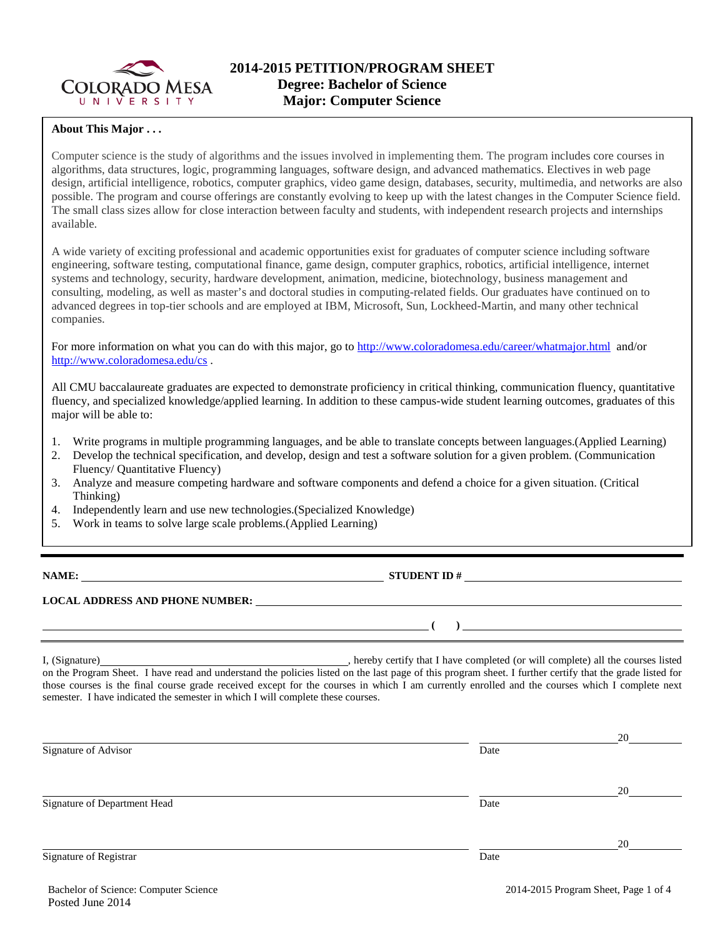

### **About This Major . . .**

Computer science is the study of algorithms and the issues involved in implementing them. The program includes core courses in algorithms, data structures, logic, programming languages, software design, and advanced mathematics. Electives in web page design, artificial intelligence, robotics, computer graphics, video game design, databases, security, multimedia, and networks are also possible. The program and course offerings are constantly evolving to keep up with the latest changes in the Computer Science field. The small class sizes allow for close interaction between faculty and students, with independent research projects and internships available.

A wide variety of exciting professional and academic opportunities exist for graduates of computer science including software engineering, software testing, computational finance, game design, computer graphics, robotics, artificial intelligence, internet systems and technology, security, hardware development, animation, medicine, biotechnology, business management and consulting, modeling, as well as master's and doctoral studies in computing-related fields. Our graduates have continued on to advanced degrees in top-tier schools and are employed at IBM, Microsoft, Sun, Lockheed-Martin, and many other technical companies.

For more information on what you can do with this major, go to<http://www.coloradomesa.edu/career/whatmajor.html>and/or <http://www.coloradomesa.edu/cs> .

All CMU baccalaureate graduates are expected to demonstrate proficiency in critical thinking, communication fluency, quantitative fluency, and specialized knowledge/applied learning. In addition to these campus-wide student learning outcomes, graduates of this major will be able to:

- 1. Write programs in multiple programming languages, and be able to translate concepts between languages.(Applied Learning)
- 2. Develop the technical specification, and develop, design and test a software solution for a given problem. (Communication Fluency/ Quantitative Fluency)
- 3. Analyze and measure competing hardware and software components and defend a choice for a given situation. (Critical Thinking)
- 4. Independently learn and use new technologies.(Specialized Knowledge)
- 5. Work in teams to solve large scale problems.(Applied Learning)

**NAME: STUDENT ID #**

**( )** 

# **LOCAL ADDRESS AND PHONE NUMBER:**

I, (Signature) **Source and Contract Contract Constant Constant Constant Constant Constant Constant Constant Constant Constant Constant Constant Constant Constant Constant Constant Constant Constant Constant Constant Consta** on the Program Sheet. I have read and understand the policies listed on the last page of this program sheet. I further certify that the grade listed for those courses is the final course grade received except for the courses in which I am currently enrolled and the courses which I complete next semester. I have indicated the semester in which I will complete these courses.

|                              |      | 20 |
|------------------------------|------|----|
| Signature of Advisor         | Date |    |
|                              |      |    |
|                              |      | 20 |
| Signature of Department Head | Date |    |
|                              |      |    |
|                              |      | 20 |
| Signature of Registrar       | Date |    |
|                              |      |    |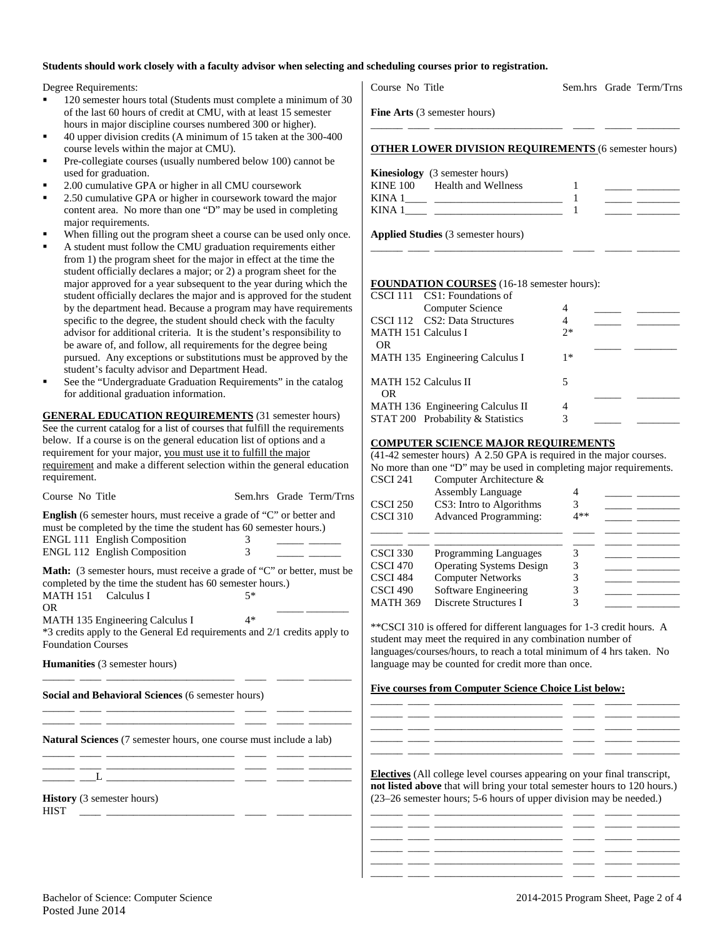### **Students should work closely with a faculty advisor when selecting and scheduling courses prior to registration.**

Degree Requirements:

- 120 semester hours total (Students must complete a minimum of 30 of the last 60 hours of credit at CMU, with at least 15 semester hours in major discipline courses numbered 300 or higher).
- 40 upper division credits (A minimum of 15 taken at the 300-400 course levels within the major at CMU).
- Pre-collegiate courses (usually numbered below 100) cannot be used for graduation.
- 2.00 cumulative GPA or higher in all CMU coursework
- 2.50 cumulative GPA or higher in coursework toward the major content area. No more than one "D" may be used in completing major requirements.
- When filling out the program sheet a course can be used only once.
- A student must follow the CMU graduation requirements either from 1) the program sheet for the major in effect at the time the student officially declares a major; or 2) a program sheet for the major approved for a year subsequent to the year during which the student officially declares the major and is approved for the student by the department head. Because a program may have requirements specific to the degree, the student should check with the faculty advisor for additional criteria. It is the student's responsibility to be aware of, and follow, all requirements for the degree being pursued. Any exceptions or substitutions must be approved by the student's faculty advisor and Department Head.
- See the "Undergraduate Graduation Requirements" in the catalog for additional graduation information.

**GENERAL EDUCATION REQUIREMENTS** (31 semester hours) See the current catalog for a list of courses that fulfill the requirements below. If a course is on the general education list of options and a requirement for your major, you must use it to fulfill the major requirement and make a different selection within the general education requirement.

| Course No Title                                                                                                                                                                                                  |        |  | Sem.hrs Grade Term/Trns |  |  |
|------------------------------------------------------------------------------------------------------------------------------------------------------------------------------------------------------------------|--------|--|-------------------------|--|--|
| <b>English</b> (6 semester hours, must receive a grade of "C" or better and<br>must be completed by the time the student has 60 semester hours.)<br>ENGL 111 English Composition<br>ENGL 112 English Composition | 3<br>3 |  |                         |  |  |
| <b>Math:</b> (3 semester hours, must receive a grade of "C" or better, must be<br>completed by the time the student has 60 semester hours.)<br>MATH 151 Calculus I<br>OR.                                        | $5*$   |  |                         |  |  |
| MATH 135 Engineering Calculus I<br>*3 credits apply to the General Ed requirements and 2/1 credits apply to<br><b>Foundation Courses</b>                                                                         | $4*$   |  |                         |  |  |
| <b>Humanities</b> (3 semester hours)                                                                                                                                                                             |        |  |                         |  |  |
| Social and Behavioral Sciences (6 semester hours)                                                                                                                                                                |        |  |                         |  |  |
| <b>Natural Sciences</b> (7 semester hours, one course must include a lab)<br><u> 1989 - Andrea Station, amerikansk politiker (d. 1989)</u>                                                                       |        |  |                         |  |  |
|                                                                                                                                                                                                                  |        |  |                         |  |  |
| <b>History</b> (3 semester hours)<br><b>HIST</b>                                                                                                                                                                 |        |  |                         |  |  |
|                                                                                                                                                                                                                  |        |  |                         |  |  |

Course No Title Sem.hrs Grade Term/Trns

**Fine Arts** (3 semester hours)

|  | <b>OTHER LOWER DIVISION REQUIREMENTS (6 semester hours)</b> |  |  |  |  |
|--|-------------------------------------------------------------|--|--|--|--|

|             | <b>Kinesiology</b> (3 semester hours) |  |
|-------------|---------------------------------------|--|
| KINE 100    | Health and Wellness                   |  |
| <b>KINA</b> |                                       |  |
| <b>KINA</b> |                                       |  |
|             |                                       |  |

\_\_\_\_\_\_ \_\_\_\_ \_\_\_\_\_\_\_\_\_\_\_\_\_\_\_\_\_\_\_\_\_\_\_\_ \_\_\_\_ \_\_\_\_\_ \_\_\_\_\_\_\_\_

**Applied Studies** (3 semester hours)

#### **FOUNDATION COURSES** (16-18 semester hours):

|                                    | CSCI 111 CS1: Foundations of      |      |  |
|------------------------------------|-----------------------------------|------|--|
|                                    | Computer Science                  | 4    |  |
|                                    | CSCI 112 CS2: Data Structures     | 4    |  |
| <b>MATH 151 Calculus I</b>         |                                   | $2*$ |  |
| OR.                                |                                   |      |  |
|                                    | MATH 135 Engineering Calculus I   | $1*$ |  |
| <b>MATH 152 Calculus II</b><br>OR. |                                   | 5    |  |
|                                    | MATH 136 Engineering Calculus II  | 4    |  |
|                                    | STAT 200 Probability & Statistics | 3    |  |
|                                    |                                   |      |  |

### **COMPUTER SCIENCE MAJOR REQUIREMENTS**

(41-42 semester hours) A 2.50 GPA is required in the major courses. No more than one "D" may be used in completing major requirements.

| CSCI 241        | Computer Architecture &         |       |  |
|-----------------|---------------------------------|-------|--|
|                 | <b>Assembly Language</b>        |       |  |
| <b>CSCI 250</b> | CS3: Intro to Algorithms        | 3     |  |
| <b>CSCI 310</b> | <b>Advanced Programming:</b>    | $4**$ |  |
|                 |                                 |       |  |
|                 |                                 |       |  |
| <b>CSCI 330</b> | <b>Programming Languages</b>    | 3     |  |
| CSCI 470        | <b>Operating Systems Design</b> | 3     |  |
| CSCI 484        | <b>Computer Networks</b>        |       |  |
| CSCI 490        | Software Engineering            |       |  |
| <b>MATH 369</b> | Discrete Structures I           |       |  |
|                 |                                 |       |  |

\*\*CSCI 310 is offered for different languages for 1-3 credit hours. A student may meet the required in any combination number of languages/courses/hours, to reach a total minimum of 4 hrs taken. No language may be counted for credit more than once.

#### **Five courses from Computer Science Choice List below:**

|  | _____ | ______ |           |
|--|-------|--------|-----------|
|  |       | ______ | _________ |
|  |       |        |           |
|  | _____ | ______ | _________ |
|  |       |        |           |

**Electives** (All college level courses appearing on your final transcript, **not listed above** that will bring your total semester hours to 120 hours.) (23–26 semester hours; 5-6 hours of upper division may be needed.)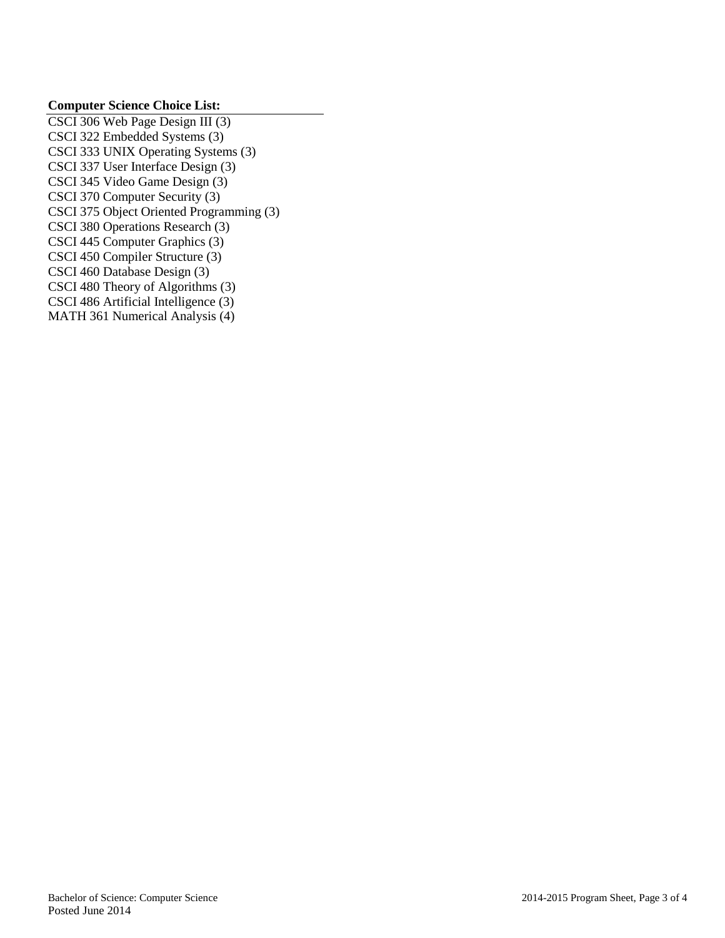## **Computer Science Choice List:**

CSCI 306 Web Page Design III (3) CSCI 322 Embedded Systems (3) CSCI 333 UNIX Operating Systems (3) CSCI 337 User Interface Design (3) CSCI 345 Video Game Design (3) CSCI 370 Computer Security (3) CSCI 375 Object Oriented Programming (3) CSCI 380 Operations Research (3) CSCI 445 Computer Graphics (3) CSCI 450 Compiler Structure (3) CSCI 460 Database Design (3) CSCI 480 Theory of Algorithms (3) CSCI 486 Artificial Intelligence (3) MATH 361 Numerical Analysis (4)